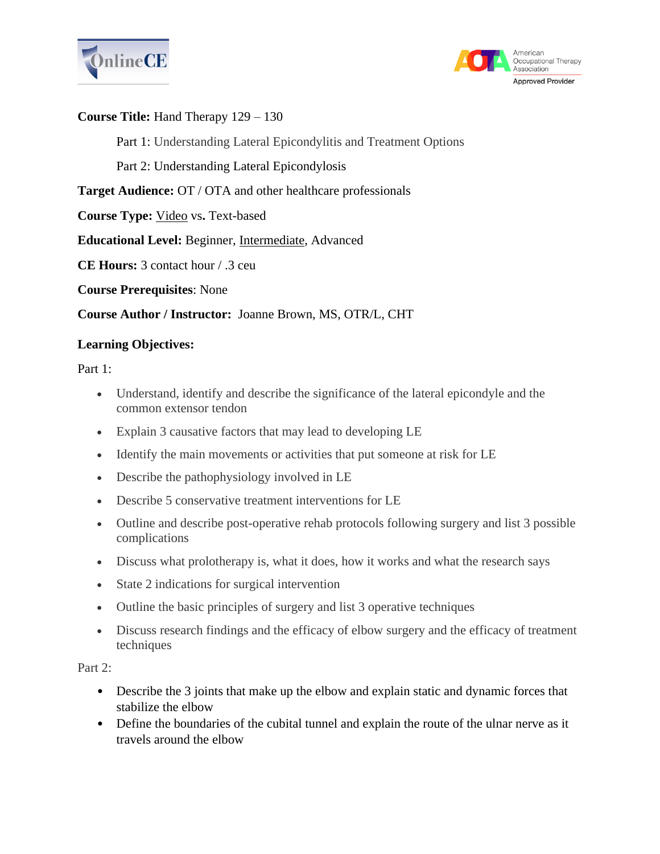



#### **Course Title:** Hand Therapy 129 – 130

Part 1: Understanding Lateral Epicondylitis and Treatment Options

Part 2: Understanding Lateral Epicondylosis

**Target Audience:** OT / OTA and other healthcare professionals

**Course Type:** Video vs**.** Text-based

**Educational Level:** Beginner, Intermediate, Advanced

**CE Hours:** 3 contact hour / .3 ceu

**Course Prerequisites**: None

**Course Author / Instructor:** Joanne Brown, MS, OTR/L, CHT

### **Learning Objectives:**

Part 1:

- Understand, identify and describe the significance of the lateral epicondyle and the common extensor tendon
- Explain 3 causative factors that may lead to developing LE
- Identify the main movements or activities that put someone at risk for LE
- Describe the pathophysiology involved in LE
- Describe 5 conservative treatment interventions for LE
- Outline and describe post-operative rehab protocols following surgery and list 3 possible complications
- Discuss what prolotherapy is, what it does, how it works and what the research says
- State 2 indications for surgical intervention
- Outline the basic principles of surgery and list 3 operative techniques
- Discuss research findings and the efficacy of elbow surgery and the efficacy of treatment techniques

Part 2:

- Describe the 3 joints that make up the elbow and explain static and dynamic forces that stabilize the elbow
- Define the boundaries of the cubital tunnel and explain the route of the ulnar nerve as it travels around the elbow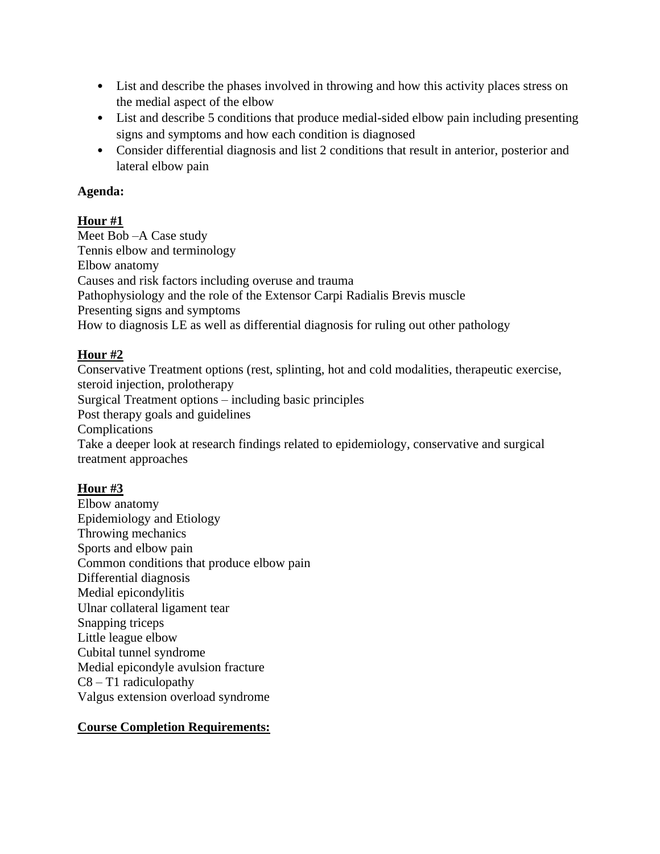- List and describe the phases involved in throwing and how this activity places stress on the medial aspect of the elbow
- List and describe 5 conditions that produce medial-sided elbow pain including presenting signs and symptoms and how each condition is diagnosed
- Consider differential diagnosis and list 2 conditions that result in anterior, posterior and lateral elbow pain

#### **Agenda:**

### **Hour #1**

Meet Bob –A Case study Tennis elbow and terminology Elbow anatomy Causes and risk factors including overuse and trauma Pathophysiology and the role of the Extensor Carpi Radialis Brevis muscle Presenting signs and symptoms How to diagnosis LE as well as differential diagnosis for ruling out other pathology

# **Hour #2**

Conservative Treatment options (rest, splinting, hot and cold modalities, therapeutic exercise, steroid injection, prolotherapy Surgical Treatment options – including basic principles Post therapy goals and guidelines Complications Take a deeper look at research findings related to epidemiology, conservative and surgical treatment approaches

# **Hour #3**

Elbow anatomy Epidemiology and Etiology Throwing mechanics Sports and elbow pain Common conditions that produce elbow pain Differential diagnosis Medial epicondylitis Ulnar collateral ligament tear Snapping triceps Little league elbow Cubital tunnel syndrome Medial epicondyle avulsion fracture  $C8 - T1$  radiculopathy Valgus extension overload syndrome

# **Course Completion Requirements:**